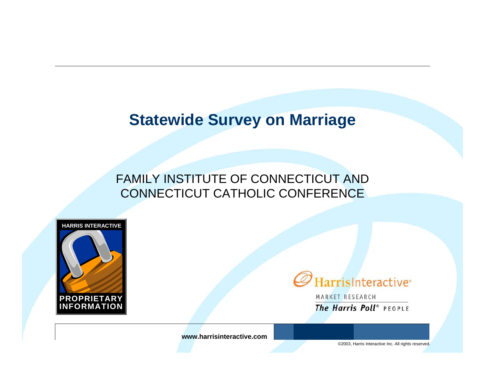### **Statewide Survey on Marriage**

#### FAMILY INSTITUTE OF CONNECTICUT AND CONNECTICUT CATHOLIC CONFERENCE





MARKET RESEARCH The Harris Poll<sup>®</sup> PEOPLE

**www.harrisinteractive.com**

©2003, Harris Interactive Inc. All rights reserved.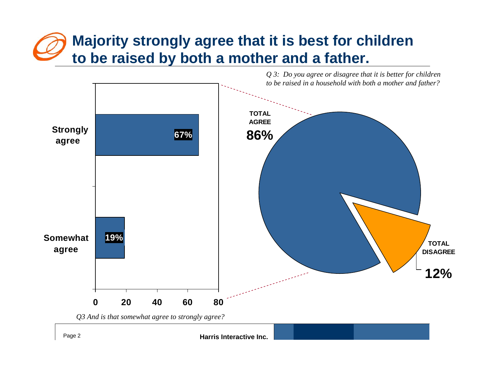# **Majority strongly agree that it is best for children to be raised by both a mother and a father.**

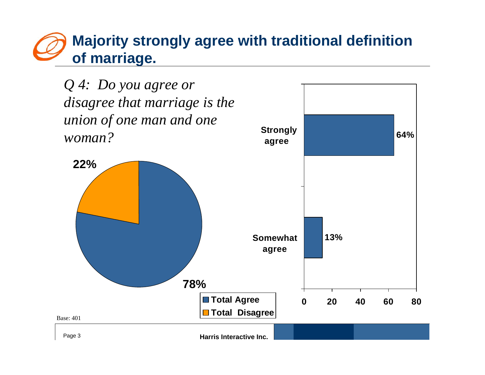### **Majority strongly agree with traditional definition of marriage.**

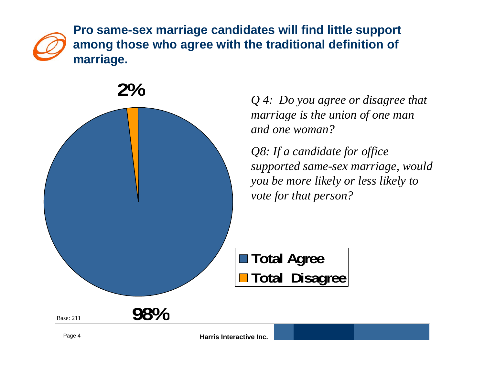**Pro same-sex marriage candidates will find little support among those who agree with the traditional definition of marriage.**

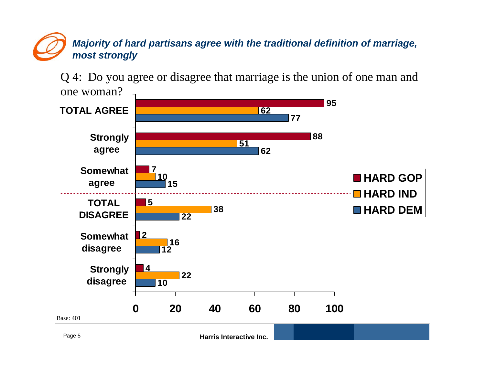#### *Majority of hard partisans agree with the traditional definition of marriage, most strongly*

Q 4: Do you agree or disagree that marriage is the union of one man and one woman?

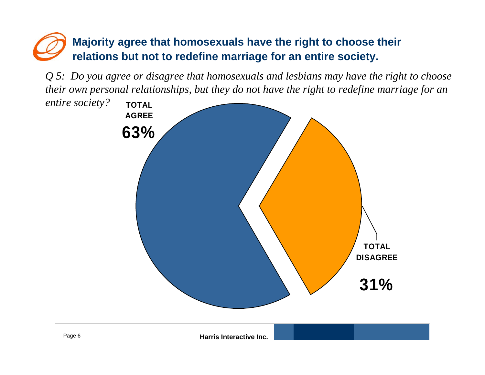### **Majority agree that homosexuals have the right to choose their relations but not to redefine marriage for an entire society.**

*Q 5: Do you agree or disagree that homosexuals and lesbians may have the right to choose their own personal relationships, but they do not have the right to redefine marriage for an* 

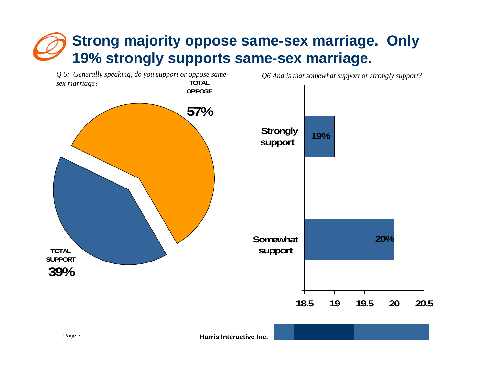# **Strong majority oppose same-sex marriage. Only 19% strongly supports same-sex marriage.**



Page 7 **Harris Interactive Inc.**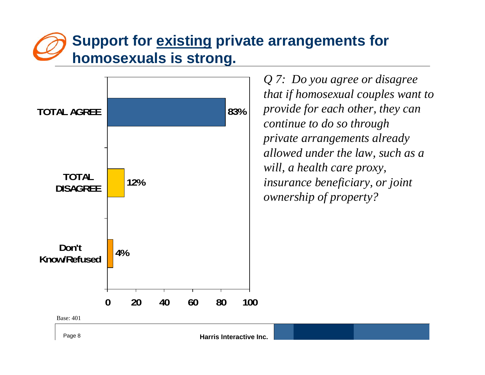## **Support for existing private arrangements for homosexuals is strong.**



*Q 7: Do you agree or disagree that if homosexual couples want to provide for each other, they can continue to do so through private arrangements already allowed under the law, such as a will, a health care proxy, insurance beneficiary, or joint ownership of property?*

Page 8 **Harris Interactive Inc.**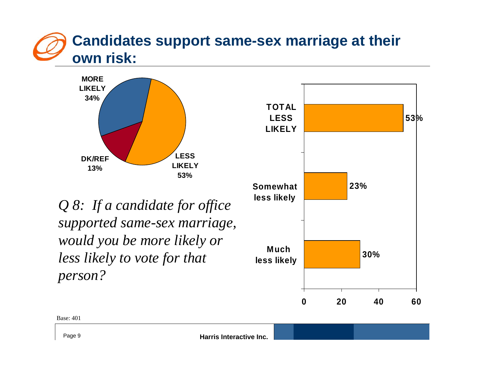



*Q 8: If a candidate for office supported same-sex marriage, would you be more likely or less likely to vote for that person?*



Base: 401

Page 9 **Harris Interactive Inc.**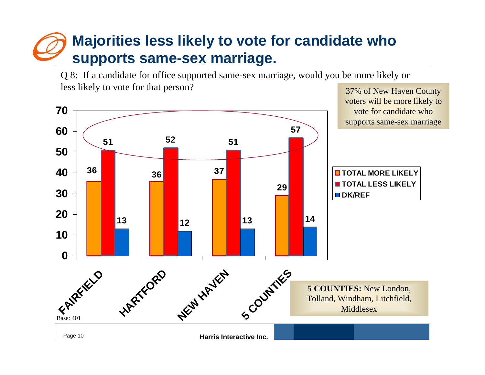## **Majorities less likely to vote for candidate who supports same-sex marriage.**

Q 8: If a candidate for office supported same-sex marriage, would you be more likely or less likely to vote for that person? 37% of New Haven County